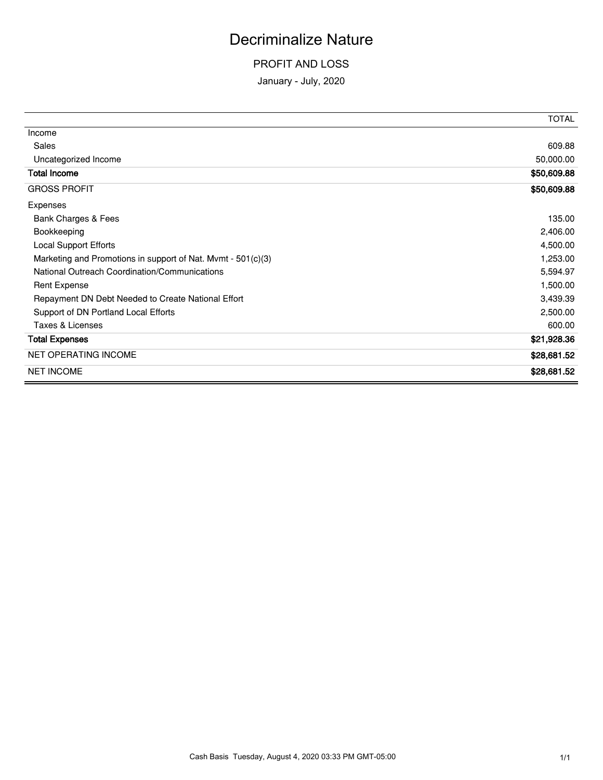## Decriminalize Nature

## PROFIT AND LOSS

January - July, 2020

|                                                              | <b>TOTAL</b> |
|--------------------------------------------------------------|--------------|
| Income                                                       |              |
| Sales                                                        | 609.88       |
| Uncategorized Income                                         | 50,000.00    |
| <b>Total Income</b>                                          | \$50,609.88  |
| <b>GROSS PROFIT</b>                                          | \$50,609.88  |
| Expenses                                                     |              |
| Bank Charges & Fees                                          | 135.00       |
| Bookkeeping                                                  | 2,406.00     |
| <b>Local Support Efforts</b>                                 | 4,500.00     |
| Marketing and Promotions in support of Nat. Mvmt - 501(c)(3) | 1,253.00     |
| National Outreach Coordination/Communications                | 5,594.97     |
| <b>Rent Expense</b>                                          | 1,500.00     |
| Repayment DN Debt Needed to Create National Effort           | 3,439.39     |
| Support of DN Portland Local Efforts                         | 2,500.00     |
| Taxes & Licenses                                             | 600.00       |
| <b>Total Expenses</b>                                        | \$21,928.36  |
| <b>NET OPERATING INCOME</b>                                  | \$28,681.52  |
| <b>NET INCOME</b>                                            | \$28,681.52  |